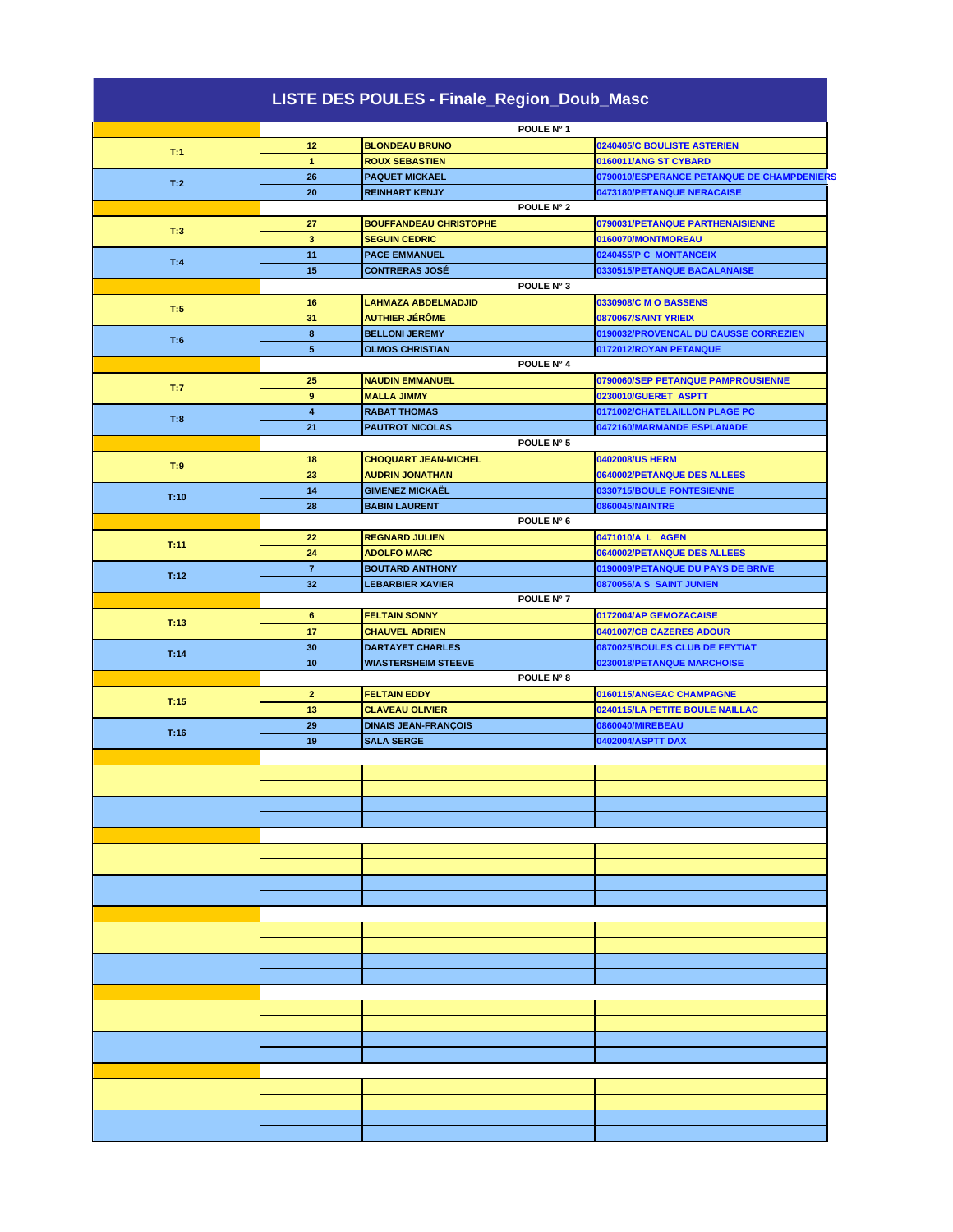|      |                         | LISTE DES POULES - Finale_Region_Doub_Masc |            |                                            |
|------|-------------------------|--------------------------------------------|------------|--------------------------------------------|
|      |                         |                                            | POULE N° 1 |                                            |
|      | 12                      | <b>BLONDEAU BRUNO</b>                      |            | 0240405/C BOULISTE ASTERIEN                |
| T:1  | $\mathbf{1}$            | <b>ROUX SEBASTIEN</b>                      |            | 0160011/ANG ST CYBARD                      |
|      | 26                      | <b>PAQUET MICKAEL</b>                      |            | 0790010/ESPERANCE PETANQUE DE CHAMPDENIERS |
| T:2  | 20                      | <b>REINHART KENJY</b>                      |            | 0473180/PETANQUE NERACAISE                 |
|      |                         |                                            | POULE N° 2 |                                            |
|      | 27                      | <b>BOUFFANDEAU CHRISTOPHE</b>              |            | 0790031/PETANQUE PARTHENAISIENNE           |
| T:3  | $\overline{\mathbf{3}}$ | <b>SEGUIN CEDRIC</b>                       |            | 0160070/MONTMOREAU                         |
|      | 11                      | <b>PACE EMMANUEL</b>                       |            | 0240455/P C MONTANCEIX                     |
| T:4  | 15                      | <b>CONTRERAS JOSÉ</b>                      |            | 0330515/PETANQUE BACALANAISE               |
|      |                         |                                            | POULE N° 3 |                                            |
|      | 16                      | <b>LAHMAZA ABDELMADJID</b>                 |            | 0330908/C M O BASSENS                      |
| T:5  | 31                      | <b>AUTHIER JÉRÔME</b>                      |            | 0870067/SAINT YRIEIX                       |
|      | 8                       | <b>BELLONI JEREMY</b>                      |            | 0190032/PROVENCAL DU CAUSSE CORREZIEN      |
| T:6  | $5\phantom{.0}$         | <b>OLMOS CHRISTIAN</b>                     |            | 0172012/ROYAN PETANQUE                     |
|      |                         |                                            | POULE N° 4 |                                            |
|      | 25                      | <b>NAUDIN EMMANUEL</b>                     |            | 0790060/SEP PETANQUE PAMPROUSIENNE         |
| T:7  | 9                       | <b>MALLA JIMMY</b>                         |            | 0230010/GUERET ASPTT                       |
|      | $\overline{4}$          | <b>RABAT THOMAS</b>                        |            | 0171002/CHATELAILLON PLAGE PC              |
| T:8  | 21                      | <b>PAUTROT NICOLAS</b>                     |            | 0472160/MARMANDE ESPLANADE                 |
|      |                         |                                            | POULE N° 5 |                                            |
|      | 18                      | <b>CHOQUART JEAN-MICHEL</b>                |            | 0402008/US HERM                            |
| T:9  | 23                      | <b>AUDRIN JONATHAN</b>                     |            | 0640002/PETANQUE DES ALLEES                |
|      | 14                      | <b>GIMENEZ MICKAËL</b>                     |            | 0330715/BOULE FONTESIENNE                  |
| T:10 | 28                      | <b>BABIN LAURENT</b>                       |            | 0860045/NAINTRE                            |
|      |                         |                                            | POULE N° 6 |                                            |
|      | 22                      | <b>REGNARD JULIEN</b>                      |            | 0471010/A L AGEN                           |
| T:11 |                         |                                            |            |                                            |
|      | 24                      | <b>ADOLFO MARC</b>                         |            | 0640002/PETANQUE DES ALLEES                |
| T:12 | $\overline{7}$          | <b>BOUTARD ANTHONY</b>                     |            | 0190009/PETANQUE DU PAYS DE BRIVE          |
|      | 32                      | <b>LEBARBIER XAVIER</b>                    |            | 0870056/A S SAINT JUNIEN                   |
|      |                         |                                            | POULE N° 7 |                                            |
| T:13 | 6                       | <b>FELTAIN SONNY</b>                       |            | 0172004/AP GEMOZACAISE                     |
|      | 17                      | <b>CHAUVEL ADRIEN</b>                      |            | 0401007/CB CAZERES ADOUR                   |
| T:14 | 30                      | <b>DARTAYET CHARLES</b>                    |            | 0870025/BOULES CLUB DE FEYTIAT             |
|      | 10                      | <b>WIASTERSHEIM STEEVE</b>                 |            | 0230018/PETANQUE MARCHOISE                 |
|      |                         |                                            | POULE N° 8 |                                            |
| T:15 | $\mathbf{2}$            | <b>FELTAIN EDDY</b>                        |            | 0160115/ANGEAC CHAMPAGNE                   |
|      | 13                      | <b>CLAVEAU OLIVIER</b>                     |            | 0240115/LA PETITE BOULE NAILLAC            |
| T:16 | 29                      | <b>DINAIS JEAN-FRANÇOIS</b>                |            | 0860040/MIREBEAU                           |
|      | 19                      | <b>SALA SERGE</b>                          |            | 0402004/ASPTT DAX                          |
|      |                         |                                            |            |                                            |
|      |                         |                                            |            |                                            |
|      |                         |                                            |            |                                            |
|      |                         |                                            |            |                                            |
|      |                         |                                            |            |                                            |
|      |                         |                                            |            |                                            |
|      |                         |                                            |            |                                            |
|      |                         |                                            |            |                                            |
|      |                         |                                            |            |                                            |
|      |                         |                                            |            |                                            |
|      |                         |                                            |            |                                            |
|      |                         |                                            |            |                                            |
|      |                         |                                            |            |                                            |
|      |                         |                                            |            |                                            |
|      |                         |                                            |            |                                            |
|      |                         |                                            |            |                                            |
|      |                         |                                            |            |                                            |
|      |                         |                                            |            |                                            |
|      |                         |                                            |            |                                            |
|      |                         |                                            |            |                                            |
|      |                         |                                            |            |                                            |
|      |                         |                                            |            |                                            |
|      |                         |                                            |            |                                            |
|      |                         |                                            |            |                                            |
|      |                         |                                            |            |                                            |
|      |                         |                                            |            |                                            |